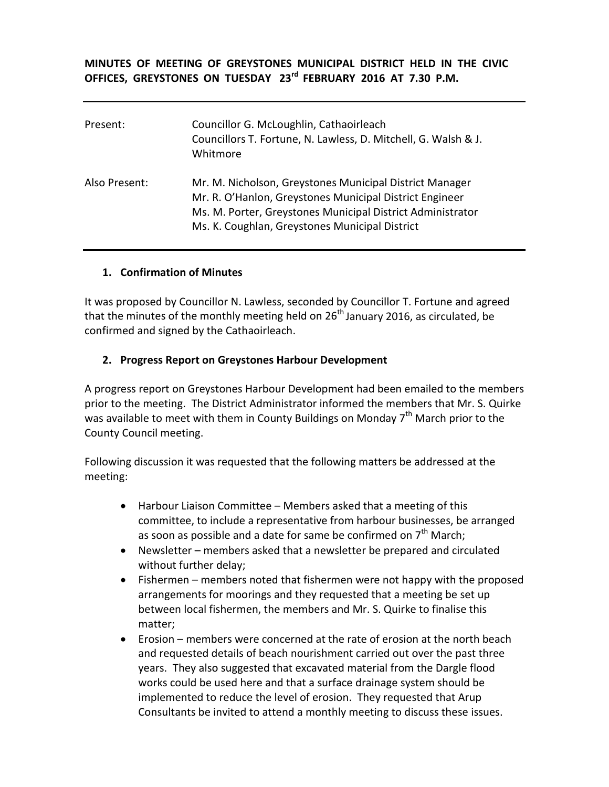**MINUTES OF MEETING OF GREYSTONES MUNICIPAL DISTRICT HELD IN THE CIVIC OFFICES, GREYSTONES ON TUESDAY 23rd FEBRUARY 2016 AT 7.30 P.M.**

| Present:      | Councillor G. McLoughlin, Cathaoirleach<br>Councillors T. Fortune, N. Lawless, D. Mitchell, G. Walsh & J.<br>Whitmore                                                                                                              |
|---------------|------------------------------------------------------------------------------------------------------------------------------------------------------------------------------------------------------------------------------------|
| Also Present: | Mr. M. Nicholson, Greystones Municipal District Manager<br>Mr. R. O'Hanlon, Greystones Municipal District Engineer<br>Ms. M. Porter, Greystones Municipal District Administrator<br>Ms. K. Coughlan, Greystones Municipal District |

#### **1. Confirmation of Minutes**

It was proposed by Councillor N. Lawless, seconded by Councillor T. Fortune and agreed that the minutes of the monthly meeting held on  $26<sup>th</sup>$  January 2016, as circulated, be confirmed and signed by the Cathaoirleach.

#### **2. Progress Report on Greystones Harbour Development**

A progress report on Greystones Harbour Development had been emailed to the members prior to the meeting. The District Administrator informed the members that Mr. S. Quirke was available to meet with them in County Buildings on Monday  $7<sup>th</sup>$  March prior to the County Council meeting.

Following discussion it was requested that the following matters be addressed at the meeting:

- Harbour Liaison Committee Members asked that a meeting of this committee, to include a representative from harbour businesses, be arranged as soon as possible and a date for same be confirmed on  $7<sup>th</sup>$  March:
- Newsletter members asked that a newsletter be prepared and circulated without further delay;
- Fishermen members noted that fishermen were not happy with the proposed arrangements for moorings and they requested that a meeting be set up between local fishermen, the members and Mr. S. Quirke to finalise this matter;
- Erosion members were concerned at the rate of erosion at the north beach and requested details of beach nourishment carried out over the past three years. They also suggested that excavated material from the Dargle flood works could be used here and that a surface drainage system should be implemented to reduce the level of erosion. They requested that Arup Consultants be invited to attend a monthly meeting to discuss these issues.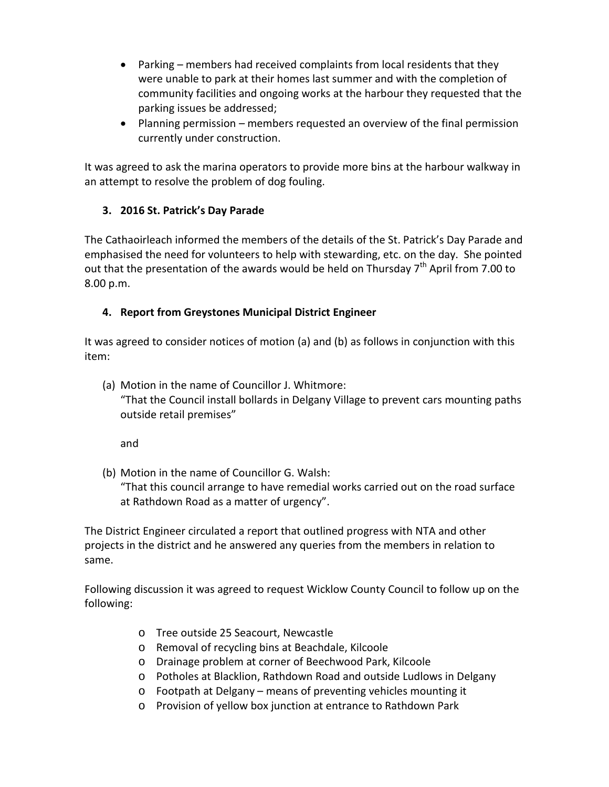- Parking members had received complaints from local residents that they were unable to park at their homes last summer and with the completion of community facilities and ongoing works at the harbour they requested that the parking issues be addressed;
- Planning permission members requested an overview of the final permission currently under construction.

It was agreed to ask the marina operators to provide more bins at the harbour walkway in an attempt to resolve the problem of dog fouling.

# **3. 2016 St. Patrick's Day Parade**

The Cathaoirleach informed the members of the details of the St. Patrick's Day Parade and emphasised the need for volunteers to help with stewarding, etc. on the day. She pointed out that the presentation of the awards would be held on Thursday  $7<sup>th</sup>$  April from 7.00 to 8.00 p.m.

## **4. Report from Greystones Municipal District Engineer**

It was agreed to consider notices of motion (a) and (b) as follows in conjunction with this item:

(a) Motion in the name of Councillor J. Whitmore:

"That the Council install bollards in Delgany Village to prevent cars mounting paths outside retail premises"

and

(b) Motion in the name of Councillor G. Walsh:

"That this council arrange to have remedial works carried out on the road surface at Rathdown Road as a matter of urgency".

The District Engineer circulated a report that outlined progress with NTA and other projects in the district and he answered any queries from the members in relation to same.

Following discussion it was agreed to request Wicklow County Council to follow up on the following:

- o Tree outside 25 Seacourt, Newcastle
- o Removal of recycling bins at Beachdale, Kilcoole
- o Drainage problem at corner of Beechwood Park, Kilcoole
- o Potholes at Blacklion, Rathdown Road and outside Ludlows in Delgany
- o Footpath at Delgany means of preventing vehicles mounting it
- o Provision of yellow box junction at entrance to Rathdown Park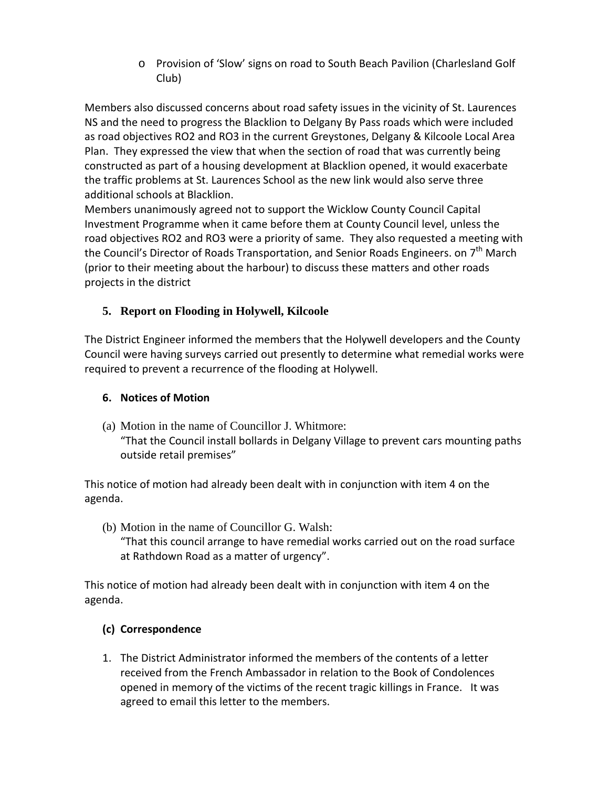o Provision of 'Slow' signs on road to South Beach Pavilion (Charlesland Golf Club)

Members also discussed concerns about road safety issues in the vicinity of St. Laurences NS and the need to progress the Blacklion to Delgany By Pass roads which were included as road objectives RO2 and RO3 in the current Greystones, Delgany & Kilcoole Local Area Plan. They expressed the view that when the section of road that was currently being constructed as part of a housing development at Blacklion opened, it would exacerbate the traffic problems at St. Laurences School as the new link would also serve three additional schools at Blacklion.

Members unanimously agreed not to support the Wicklow County Council Capital Investment Programme when it came before them at County Council level, unless the road objectives RO2 and RO3 were a priority of same. They also requested a meeting with the Council's Director of Roads Transportation, and Senior Roads Engineers. on  $7<sup>th</sup>$  March (prior to their meeting about the harbour) to discuss these matters and other roads projects in the district

# **5. Report on Flooding in Holywell, Kilcoole**

The District Engineer informed the members that the Holywell developers and the County Council were having surveys carried out presently to determine what remedial works were required to prevent a recurrence of the flooding at Holywell.

### **6. Notices of Motion**

(a) Motion in the name of Councillor J. Whitmore: "That the Council install bollards in Delgany Village to prevent cars mounting paths outside retail premises"

This notice of motion had already been dealt with in conjunction with item 4 on the agenda.

(b) Motion in the name of Councillor G. Walsh: "That this council arrange to have remedial works carried out on the road surface at Rathdown Road as a matter of urgency".

This notice of motion had already been dealt with in conjunction with item 4 on the agenda.

### **(c) Correspondence**

1. The District Administrator informed the members of the contents of a letter received from the French Ambassador in relation to the Book of Condolences opened in memory of the victims of the recent tragic killings in France. It was agreed to email this letter to the members.